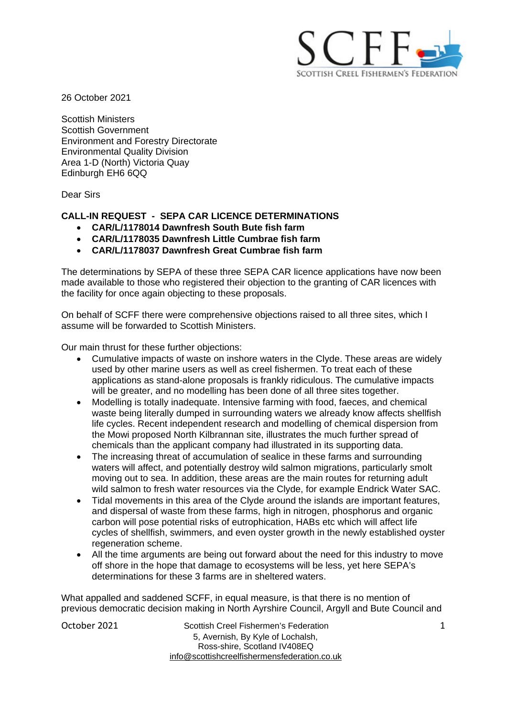

26 October 2021

Scottish Ministers Scottish Government Environment and Forestry Directorate Environmental Quality Division Area 1-D (North) Victoria Quay Edinburgh EH6 6QQ

Dear Sirs

## **CALL-IN REQUEST - SEPA CAR LICENCE DETERMINATIONS**

- **CAR/L/1178014 Dawnfresh South Bute fish farm**
- **CAR/L/1178035 Dawnfresh Little Cumbrae fish farm**
- **CAR/L/1178037 Dawnfresh Great Cumbrae fish farm**

The determinations by SEPA of these three SEPA CAR licence applications have now been made available to those who registered their objection to the granting of CAR licences with the facility for once again objecting to these proposals.

On behalf of SCFF there were comprehensive objections raised to all three sites, which I assume will be forwarded to Scottish Ministers.

Our main thrust for these further objections:

- Cumulative impacts of waste on inshore waters in the Clyde. These areas are widely used by other marine users as well as creel fishermen. To treat each of these applications as stand-alone proposals is frankly ridiculous. The cumulative impacts will be greater, and no modelling has been done of all three sites together.
- Modelling is totally inadequate. Intensive farming with food, faeces, and chemical waste being literally dumped in surrounding waters we already know affects shellfish life cycles. Recent independent research and modelling of chemical dispersion from the Mowi proposed North Kilbrannan site, illustrates the much further spread of chemicals than the applicant company had illustrated in its supporting data.
- The increasing threat of accumulation of sealice in these farms and surrounding waters will affect, and potentially destroy wild salmon migrations, particularly smolt moving out to sea. In addition, these areas are the main routes for returning adult wild salmon to fresh water resources via the Clyde, for example Endrick Water SAC.
- Tidal movements in this area of the Clyde around the islands are important features, and dispersal of waste from these farms, high in nitrogen, phosphorus and organic carbon will pose potential risks of eutrophication, HABs etc which will affect life cycles of shellfish, swimmers, and even oyster growth in the newly established oyster regeneration scheme.
- All the time arguments are being out forward about the need for this industry to move off shore in the hope that damage to ecosystems will be less, yet here SEPA's determinations for these 3 farms are in sheltered waters.

What appalled and saddened SCFF, in equal measure, is that there is no mention of previous democratic decision making in North Ayrshire Council, Argyll and Bute Council and

October 2021 Scottish Creel Fishermen's Federation 5, Avernish, By Kyle of Lochalsh, Ross-shire, Scotland IV408EQ info@scottishcreelfishermensfederation.co.uk